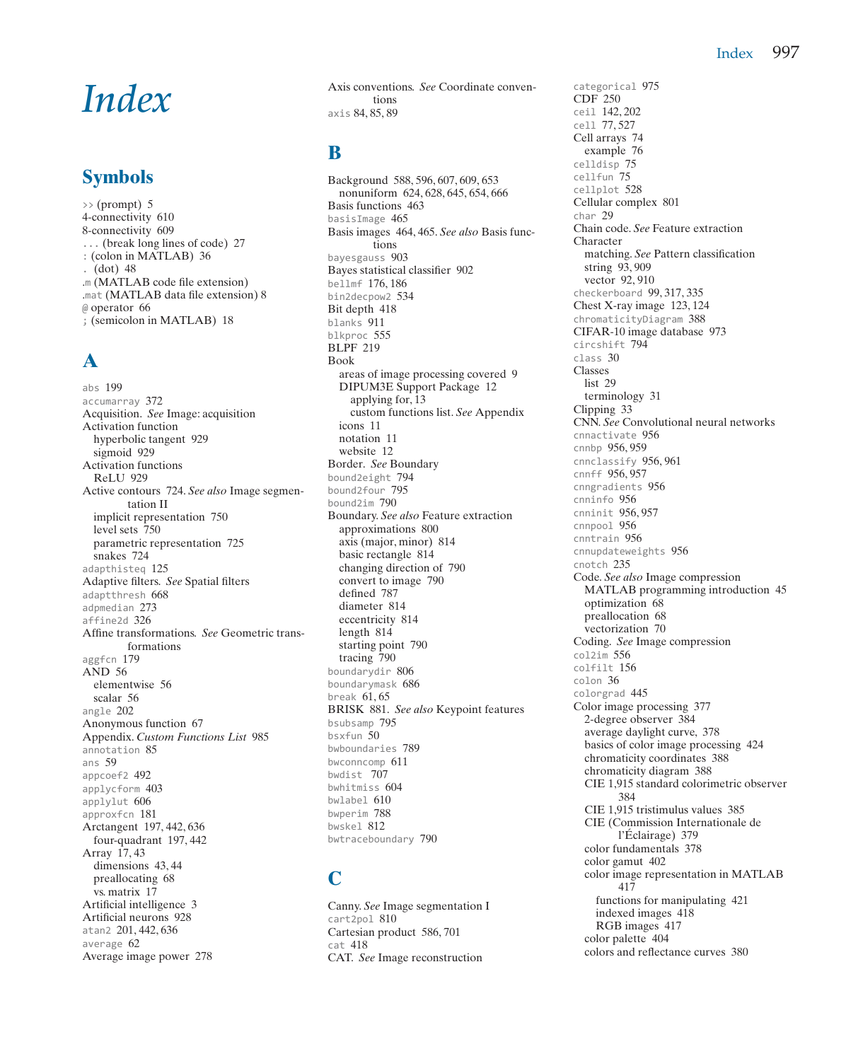#### Index 997

# *Index*

## **Symbols**

 $\gg$  (prompt) 5 4-connectivity 610 8-connectivity 609 ... (break long lines of code) 27 : (colon in MATLAB) 36 .  $(dot)$  48 .m (MATLAB code file extension) .mat (MATLAB data file extension) 8 @ operator 66 ; (semicolon in MATLAB) 18

# **A**

abs 199 accumarray 372 Acquisition. *See* Image: acquisition Activation function hyperbolic tangent 929 sigmoid 929 Activation functions ReLU 929 Active contours 724. *See also* Image segmentation II implicit representation 750 level sets 750 parametric representation 725 snakes 724 adapthisteq 125 Adaptive filters. *See* Spatial filters adaptthresh 668 adpmedian 273 affine2d 326 Affine transformations. *See* Geometric transformations aggfcn 179 AND 56 elementwise 56 scalar 56 angle 202 Anonymous function 67 Appendix. *Custom Functions List* 985 annotation 85 ans 59 appcoef2 492 applycform 403 applylut 606 approxfcn 181 Arctangent 197, 442, 636 four-quadrant 197, 442 Array 17, 43 dimensions 43, 44 preallocating 68 vs. matrix 17 Artificial intelligence 3 Artificial neurons 928 atan2 201, 442, 636 average 62 Average image power 278

Axis conventions. *See* Coordinate conventions axis 84, 85, 89

#### **B**

Background 588, 596, 607, 609, 653 nonuniform 624, 628, 645, 654, 666 Basis functions 463 basisImage 465 Basis images 464, 465. *See also* Basis functions bayesgauss 903 Bayes statistical classifier 902 bellmf 176, 186 bin2decpow2 534 Bit depth 418 blanks 911 blkproc 555 BLPF 219 Book areas of image processing covered 9 DIPUM3E Support Package 12 applying for, 13 custom functions list. *See* Appendix icons 11 notation 11 website 12 Border. *See* Boundary bound2eight 794 bound2four 795 bound2im 790 Boundary. *See also* Feature extraction approximations 800 axis (major, minor) 814 basic rectangle 814 changing direction of 790 convert to image 790 defined 787 diameter 814 eccentricity 814 length 814 starting point 790 tracing 790 boundarydir 806 boundarymask 686 break 61, 65 BRISK 881. *See also* Keypoint features bsubsamp 795 bsxfun 50 bwboundaries 789 bwconncomp 611 bwdist 707 bwhitmiss 604 bwlabel 610 bwperim 788 bwskel 812 bwtraceboundary 790

## **C**

Canny. *See* Image segmentation I cart2pol 810 Cartesian product 586, 701  $c = + 418$ CAT. *See* Image reconstruction

categorical 975 CDF 250 ceil 142, 202 cell 77, 527 Cell arrays 74 example 76 celldisp 75 cellfun 75 cellplot 528 Cellular complex 801 char 29 Chain code. *See* Feature extraction Character matching. *See* Pattern classification string 93, 909 vector 92, 910 checkerboard 99, 317, 335 Chest X-ray image 123, 124 chromaticityDiagram 388 CIFAR-10 image database 973 circshift 794 class 30 Classes list 29 terminology 31 Clipping 33 CNN. *See* Convolutional neural networks cnnactivate 956 cnnbp 956, 959 cnnclassify 956, 961 cnnff 956, 957 cnngradients 956 cnninfo 956 cnninit 956, 957 cnnpool 956 cnntrain 956 cnnupdateweights 956 cnotch 235 Code. *See also* Image compression MATLAB programming introduction 45 optimization 68 preallocation 68 vectorization 70 Coding. *See* Image compression col2im 556 colfilt 156 colon 36 colorgrad 445 Color image processing 377 2-degree observer 384 average daylight curve, 378 basics of color image processing 424 chromaticity coordinates 388 chromaticity diagram 388 CIE 1,915 standard colorimetric observer 384 CIE 1,915 tristimulus values 385 CIE (Commission Internationale de l'Éclairage) 379 color fundamentals 378 color gamut 402 color image representation in MATLAB 417 functions for manipulating 421 indexed images 418 RGB images 417 color palette 404 colors and reflectance curves 380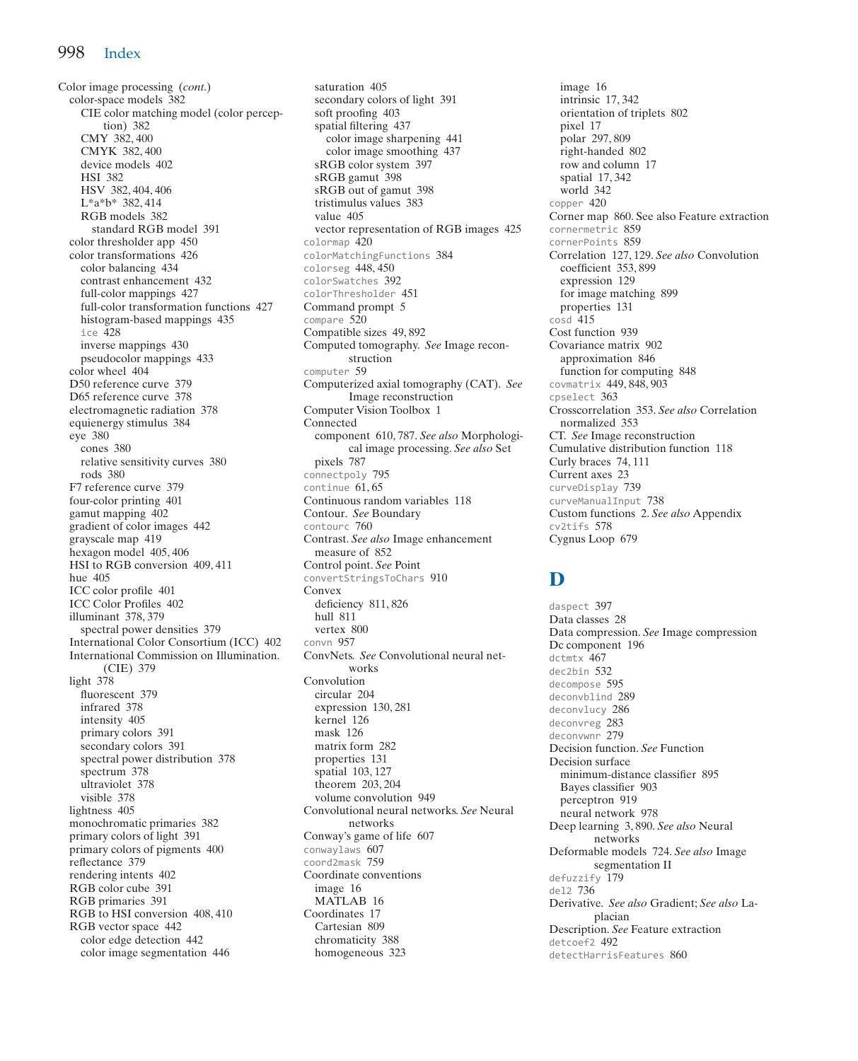Color image processing (*cont*.) color-space models 382 CIE color matching model (color perception) 382 CMY 382, 400 CMYK 382, 400 device models 402 HSI 382 HSV 382, 404, 406 L\*a\*b\* 382, 414 RGB models 382 standard RGB model 391 color thresholder app 450 color transformations 426 color balancing 434 contrast enhancement 432 full-color mappings 427 full-color transformation functions 427 histogram-based mappings 435 ice 428 inverse mappings 430 pseudocolor mappings 433 color wheel 404 D50 reference curve 379 D65 reference curve 378 electromagnetic radiation 378 equienergy stimulus 384 eye 380 cones 380 relative sensitivity curves 380 rods 380 F7 reference curve 379 four-color printing 401 gamut mapping 402 gradient of color images 442 grayscale map 419 hexagon model 405, 406 HSI to RGB conversion 409, 411 hue 405 ICC color profile 401 ICC Color Profiles 402 illuminant 378, 379 spectral power densities 379 International Color Consortium (ICC) 402 International Commission on Illumination. (CIE) 379 light 378 fluorescent 379 infrared 378 intensity 405 primary colors 391 secondary colors 391 spectral power distribution 378 spectrum 378 ultraviolet 378 visible 378 lightness 405 monochromatic primaries 382 primary colors of light 391 primary colors of pigments 400 reflectance 379 rendering intents 402 RGB color cube 391 RGB primaries 391 RGB to HSI conversion 408, 410 RGB vector space 442 color edge detection 442 color image segmentation 446

saturation 405 secondary colors of light 391 soft proofing 403 spatial filtering 437 color image sharpening 441 color image smoothing 437 sRGB color system 397 sRGB gamut 398 sRGB out of gamut 398 tristimulus values 383 value 405 vector representation of RGB images 425 colormap 420 colorMatchingFunctions 384 colorseg 448, 450 colorSwatches 392 colorThresholder 451 Command prompt 5  $compare 520$ Compatible sizes 49, 892 Computed tomography. *See* Image reconstruction computer 59 Computerized axial tomography (CAT). *See*  Image reconstruction Computer Vision Toolbox 1 Connected component 610, 787. *See also* Morphological image processing. *See also* Set pixels 787 connectpoly 795 continue 61, 65 Continuous random variables 118 Contour. *See* Boundary contourc 760 Contrast. *See also* Image enhancement measure of 852 Control point. *See* Point convertStringsToChars 910 Convex deficiency 811, 826 hull 811 vertex 800 convn 957 ConvNets. *See* Convolutional neural networks Convolution circular 204 expression 130, 281 kernel 126 mask 126 matrix form 282 properties 131 spatial 103, 127 theorem 203, 204 volume convolution 949 Convolutional neural networks. *See* Neural networks Conway's game of life 607 conwaylaws 607 coord2mask 759 Coordinate conventions image 16 MATLAB 16 Coordinates 17 Cartesian 809 chromaticity 388 homogeneous 323

image 16 intrinsic 17, 342 orientation of triplets 802 pixel 17 polar 297, 809 right-handed 802 row and column 17 spatial 17, 342 world 342 copper 420 Corner map 860. See also Feature extraction cornermetric 859 cornerPoints 859 Correlation 127, 129. *See also* Convolution coefficient 353, 899 expression 129 for image matching 899 properties 131  $\cosh 415$ Cost function 939 Covariance matrix 902 approximation 846 function for computing 848 covmatrix 449, 848, 903 cpselect 363 Crosscorrelation 353. *See also* Correlation normalized 353 CT. *See* Image reconstruction Cumulative distribution function 118 Curly braces 74, 111 Current axes 23 curveDisplay 739 curveManualInput 738 Custom functions 2. *See also* Appendix cv2tifs 578 Cygnus Loop 679

#### **D**

daspect 397 Data classes 28 Data compression. *See* Image compression Dc component 196 dctmtx 467 dec2bin 532 decompose 595 deconvblind 289 deconvlucy 286 deconvreg 283 deconvwnr 279 Decision function. *See* Function Decision surface minimum-distance classifier 895 Bayes classifier 903 perceptron 919 neural network 978 Deep learning 3, 890. *See also* Neural networks Deformable models 724. *See also* Image segmentation II defuzzify 179 del2 736 Derivative. *See also* Gradient; *See also* Laplacian Description. *See* Feature extraction detcoef2 492 detectHarrisFeatures 860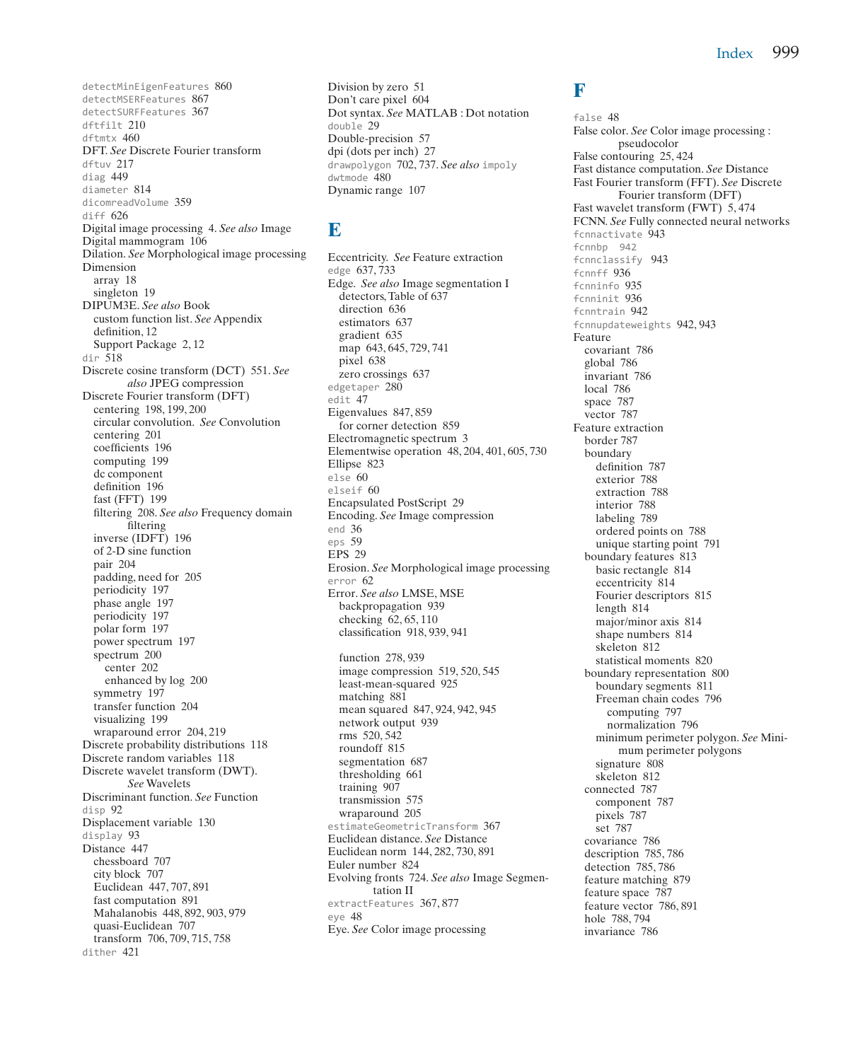detectMinEigenFeatures 860 detectMSERFeatures 867 detectSURFFeatures 367 dftfilt 210 dftmtx 460 DFT. *See* Discrete Fourier transform dftuv 217 diag 449 diameter 814 dicomreadVolume 359 diff 626 Digital image processing 4. *See also* Image Digital mammogram 106 Dilation. *See* Morphological image processing Dimension array 18 singleton 19 DIPUM3E. *See also* Book custom function list. *See* Appendix definition, 12 Support Package 2, 12 dir 518 Discrete cosine transform (DCT) 551. *See also* JPEG compression Discrete Fourier transform (DFT) centering 198, 199, 200 circular convolution. *See* Convolution centering 201 coefficients 196 computing 199 dc component definition 196 fast (FFT) 199 filtering 208. *See also* Frequency domain filtering inverse (IDFT) 196 of 2-D sine function pair 204 padding, need for 205 periodicity 197 phase angle 197 periodicity 197 polar form 197 power spectrum 197 spectrum 200 center 202 enhanced by log 200 symmetry 197 transfer function 204 visualizing 199 wraparound error 204, 219 Discrete probability distributions 118 Discrete random variables 118 Discrete wavelet transform (DWT). *See* Wavelets Discriminant function. *See* Function  $disp 92$ Displacement variable 130 display 93 Distance 447 chessboard 707 city block 707 Euclidean 447, 707, 891 fast computation 891 Mahalanobis 448, 892, 903, 979 quasi-Euclidean 707 transform 706, 709, 715, 758 dither 421

Division by zero 51 Don't care pixel 604 Dot syntax. *See* MATLAB : Dot notation double 29 Double-precision 57 dpi (dots per inch) 27 drawpolygon 702, 737. *See also* impoly dwtmode 480 Dynamic range 107

#### **E**

Eccentricity. *See* Feature extraction edge 637, 733 Edge. *See also* Image segmentation I detectors, Table of 637 direction 636 estimators 637 gradient 635 map 643, 645, 729, 741 pixel 638 zero crossings 637 edgetaper 280 edit 47 Eigenvalues 847, 859 for corner detection 859 Electromagnetic spectrum 3 Elementwise operation 48, 204, 401, 605, 730 Ellipse 823 else 60 elseif 60 Encapsulated PostScript 29 Encoding. *See* Image compression end 36 eps 59 EPS 29 Erosion. *See* Morphological image processing error 62 Error. *See also* LMSE, MSE backpropagation 939 checking 62, 65, 110 classification 918, 939, 941 function 278, 939 image compression 519, 520, 545 least-mean-squared 925 matching 881 mean squared 847, 924, 942, 945 network output 939 rms 520, 542 roundoff 815 segmentation 687 thresholding 661 training 907

transmission 575 wraparound 205

Euler number 824

eye 48

tation II extractFeatures 367, 877

Eye. *See* Color image processing

estimateGeometricTransform 367 Euclidean distance. *See* Distance Euclidean norm 144, 282, 730, 891

Evolving fronts 724. *See also* Image Segmen-

#### **F**

false 48 False color. *See* Color image processing : pseudocolor False contouring 25, 424 Fast distance computation. *See* Distance Fast Fourier transform (FFT). *See* Discrete Fourier transform (DFT) Fast wavelet transform (FWT) 5, 474 FCNN. *See* Fully connected neural networks fcnnactivate 943 fcnnbp 942 fcnnclassify 943 fcnnff 936 fcnninfo 935 fcnninit 936 fcnntrain 942 fcnnupdateweights 942, 943 Feature covariant 786 global 786 invariant 786 local 786 space 787 vector 787 Feature extraction border 787 boundary definition 787 exterior 788 extraction 788 interior 788 labeling 789 ordered points on 788 unique starting point 791 boundary features 813 basic rectangle 814 eccentricity 814 Fourier descriptors 815 length 814 major/minor axis 814 shape numbers 814 skeleton 812 statistical moments 820 boundary representation 800 boundary segments 811 Freeman chain codes 796 computing 797 normalization 796 minimum perimeter polygon. *See* Minimum perimeter polygons signature 808 skeleton 812 connected 787 component 787 pixels 787 set 787 covariance 786 description 785, 786 detection 785, 786 feature matching 879 feature space 787 feature vector 786, 891 hole 788, 794 invariance 786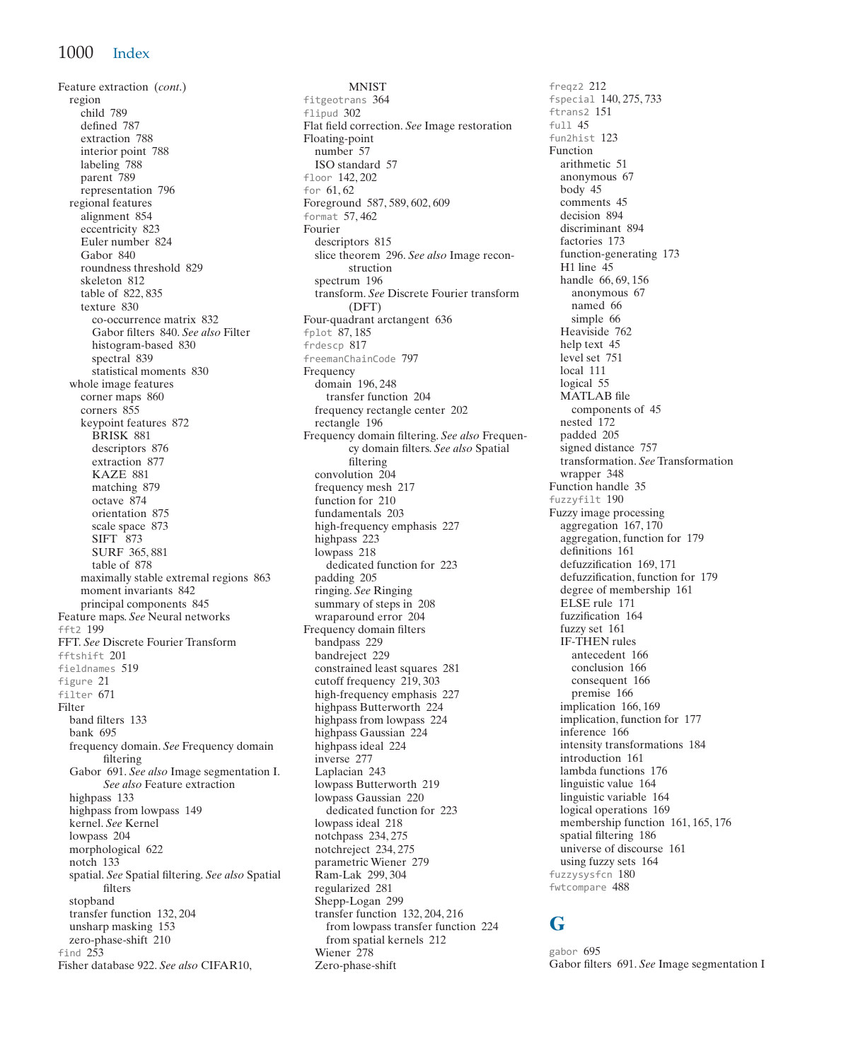Feature extraction (*cont*.) region child 789 defined 787 extraction 788 interior point 788 labeling 788 parent 789 representation 796 regional features alignment 854 eccentricity 823 Euler number 824 Gabor 840 roundness threshold 829 skeleton 812 table of 822, 835 texture 830 co-occurrence matrix 832 Gabor filters 840. *See also* Filter histogram-based 830 spectral 839 statistical moments 830 whole image features corner maps 860 corners 855 keypoint features 872 BRISK 881 descriptors 876 extraction 877 KAZE 881 matching 879 octave 874 orientation 875 scale space 873 SIFT 873 SURF 365, 881 table of 878 maximally stable extremal regions 863 moment invariants 842 principal components 845 Feature maps. *See* Neural networks fft2 199 FFT. *See* Discrete Fourier Transform fftshift 201 fieldnames 519 figure 21 filter 671 Filter band filters 133 bank 695 frequency domain. *See* Frequency domain filtering Gabor 691. *See also* Image segmentation I. *See also* Feature extraction highpass 133 highpass from lowpass 149 kernel. *See* Kernel lowpass 204 morphological 622 notch 133 spatial. *See* Spatial filtering. *See also* Spatial filters stopband transfer function 132, 204 unsharp masking 153 zero-phase-shift 210 find  $2\overline{53}$ Fisher database 922. *See also* CIFAR10,

MNIST fitgeotrans 364 flipud 302 Flat field correction. *See* Image restoration Floating-point number 57 ISO standard 57 floor 142, 202 for 61, 62 Foreground 587, 589, 602, 609 format 57, 462 Fourier descriptors 815 slice theorem 296. *See also* Image reconstruction spectrum 196 transform. *See* Discrete Fourier transform (DFT) Four-quadrant arctangent 636 fplot 87, 185 frdescp 817 freemanChainCode 797 Frequency domain 196, 248 transfer function 204 frequency rectangle center 202 rectangle 196 Frequency domain filtering. *See also* Frequency domain filters. *See also* Spatial filtering convolution 204 frequency mesh 217 function for 210 fundamentals 203 high-frequency emphasis 227 highpass<sup>223</sup> lowpass 218 dedicated function for 223 padding 205 ringing. *See* Ringing summary of steps in 208 wraparound error 204 Frequency domain filters bandpass 229 bandreject 229 constrained least squares 281 cutoff frequency 219, 303 high-frequency emphasis 227 highpass Butterworth 224 highpass from lowpass 224 highpass Gaussian 224 highpass ideal 224 inverse 277 Laplacian 243 lowpass Butterworth 219 lowpass Gaussian 220 dedicated function for 223 lowpass ideal 218 notchpass 234, 275 notchreject 234, 275 parametric Wiener 279 Ram-Lak 299, 304 regularized 281 Shepp-Logan 299 transfer function 132, 204, 216 from lowpass transfer function 224 from spatial kernels 212 Wiener 278 Zero-phase-shift

freqz2 212 fspecial 140, 275, 733 ftrans2 151 full 45 fun2hist 123 Function arithmetic 51 anonymous 67 body 45 comments 45 decision 894 discriminant 894 factories 173 function-generating 173 H1 line 45 handle 66, 69, 156 anonymous 67 named 66 simple 66 Heaviside 762 help text 45 level set 751 local 111 logical 55 MATLAB file components of 45 nested 172 padded 205 signed distance 757 transformation. *See* Transformation wrapper 348 Function handle 35 fuzzyfilt 190 Fuzzy image processing aggregation 167, 170 aggregation, function for 179 definitions 161 defuzzification 169, 171 defuzzification, function for 179 degree of membership 161 ELSE rule 171 fuzzification 164 fuzzy set 161 IF-THEN rules antecedent 166 conclusion 166 consequent 166 premise 166 implication 166, 169 implication, function for 177 inference 166 intensity transformations 184 introduction 161 lambda functions 176 linguistic value 164 linguistic variable 164 logical operations 169 membership function 161, 165, 176 spatial filtering 186 universe of discourse 161 using fuzzy sets 164 fuzzysysfcn 180 fwtcompare 488

#### **G**

gabor 695 Gabor filters 691. *See* Image segmentation I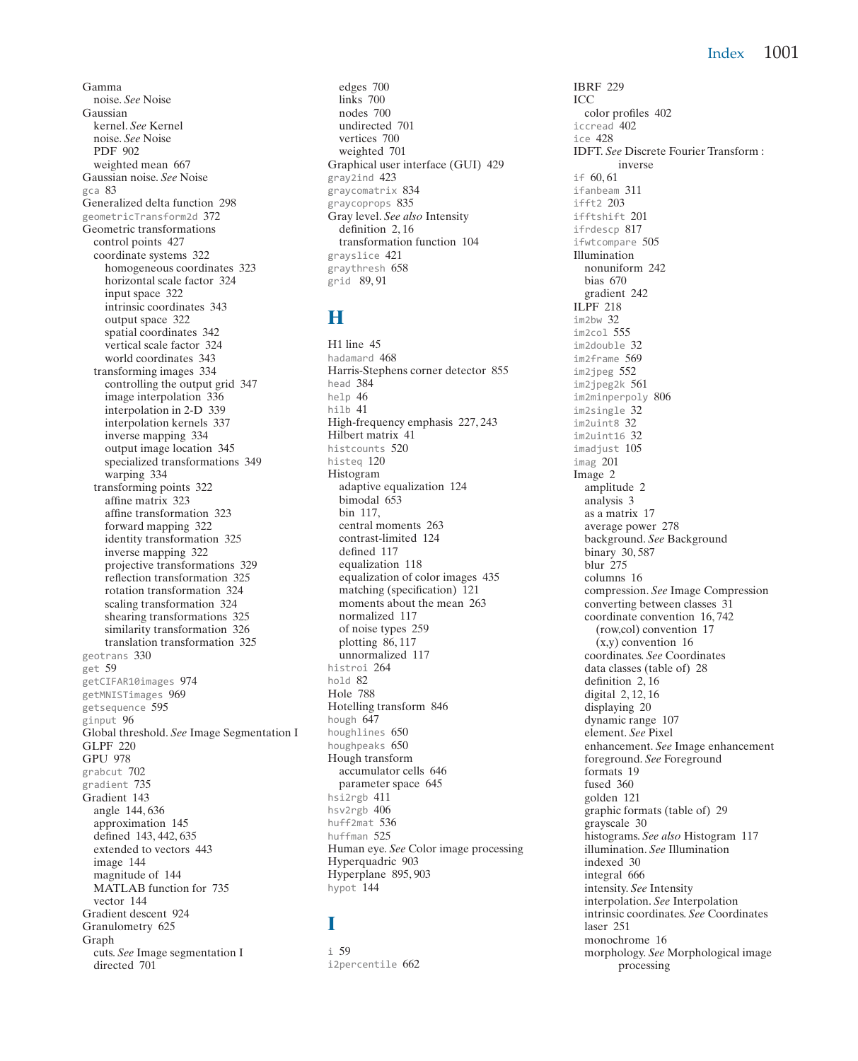Gamma noise. *See* Noise Gaussian kernel. *See* Kernel noise. *See* Noise PDF 902 weighted mean 667 Gaussian noise. *See* Noise gca 83 Generalized delta function 298 geometricTransform2d 372 Geometric transformations control points 427 coordinate systems 322 homogeneous coordinates 323 horizontal scale factor 324 input space 322 intrinsic coordinates 343 output space 322 spatial coordinates 342 vertical scale factor 324 world coordinates 343 transforming images 334 controlling the output grid 347 image interpolation 336 interpolation in 2-D 339 interpolation kernels 337 inverse mapping 334 output image location 345 specialized transformations 349 warping 334 transforming points 322 affine matrix 323 affine transformation 323 forward mapping 322 identity transformation 325 inverse mapping 322 projective transformations 329 reflection transformation 325 rotation transformation 324 scaling transformation 324 shearing transformations 325 similarity transformation 326 translation transformation 325 geotrans 330 get 59 getCIFAR10images 974 getMNISTimages 969 getsequence 595 ginput 96 Global threshold. *See* Image Segmentation I GLPF 220 GPU 978 grabcut 702 gradient 735 Gradient 143 angle 144, 636 approximation 145 defined 143, 442, 635 extended to vectors 443 image 144 magnitude of 144 MATLAB function for 735 vector 144 Gradient descent 924 Granulometry 625 Graph cuts. *See* Image segmentation I directed 701

edges 700 links 700 nodes 700 undirected 701 vertices 700 weighted 701 Graphical user interface (GUI) 429 gray2ind 423 graycomatrix 834 graycoprops 835 Gray level. *See also* Intensity definition 2, 16 transformation function 104 grayslice 421 graythresh 658 grid 89, 91

## **H**

H1 line 45 hadamard 468 Harris-Stephens corner detector 855 head 384 help 46 hilb 41 High-frequency emphasis 227, 243 Hilbert matrix 41 histcounts 520 histeq 120 Histogram adaptive equalization 124 bimodal 653 bin 117, central moments 263 contrast-limited 124 defined 117 equalization 118 equalization of color images 435 matching (specification) 121 moments about the mean 263 normalized 117 of noise types 259 plotting 86, 117 unnormalized 117 histroi 264 hold 82 Hole 788 Hotelling transform 846 hough 647 houghlines 650 houghpeaks 650 Hough transform accumulator cells 646 parameter space 645 hsi2rgb 411 hsv2rgb 406 huff2mat 536 huffman 525 Human eye. *See* Color image processing Hyperquadric 903 Hyperplane 895, 903 hypot 144

#### **I**

i 59 i2percentile 662 IBRF 229 ICC color profiles 402 iccread 402 ice 428 IDFT. *See* Discrete Fourier Transform : inverse if 60, 61 ifanbeam 311  $ifff2 203$ ifftshift 201 ifrdescp 817 ifwtcompare 505 Illumination nonuniform 242 bias 670 gradient 242 ILPF 218 im2bw 32 im2col 555 im2double 32 im2frame 569 im2ipeg 552 im2jpeg2k 561 im2minperpoly 806 im2single 32 im2uint8 32 im2uint16 32 imadjust 105 imag 201 Image 2 amplitude 2 analysis 3 as a matrix 17 average power 278 background. *See* Background binary 30, 587 blur 275 columns 16 compression. *See* Image Compression converting between classes 31 coordinate convention 16, 742 (row,col) convention 17 (x,y) convention 16 coordinates. *See* Coordinates data classes (table of) 28 definition 2, 16 digital 2, 12, 16 displaying 20 dynamic range 107 element. *See* Pixel enhancement. *See* Image enhancement foreground. *See* Foreground formats 19 fused 360 golden 121 graphic formats (table of) 29 grayscale 30 histograms. *See also* Histogram 117 illumination. *See* Illumination indexed 30 integral 666 intensity. *See* Intensity interpolation. *See* Interpolation intrinsic coordinates. *See* Coordinates laser 251 monochrome 16 morphology. *See* Morphological image processing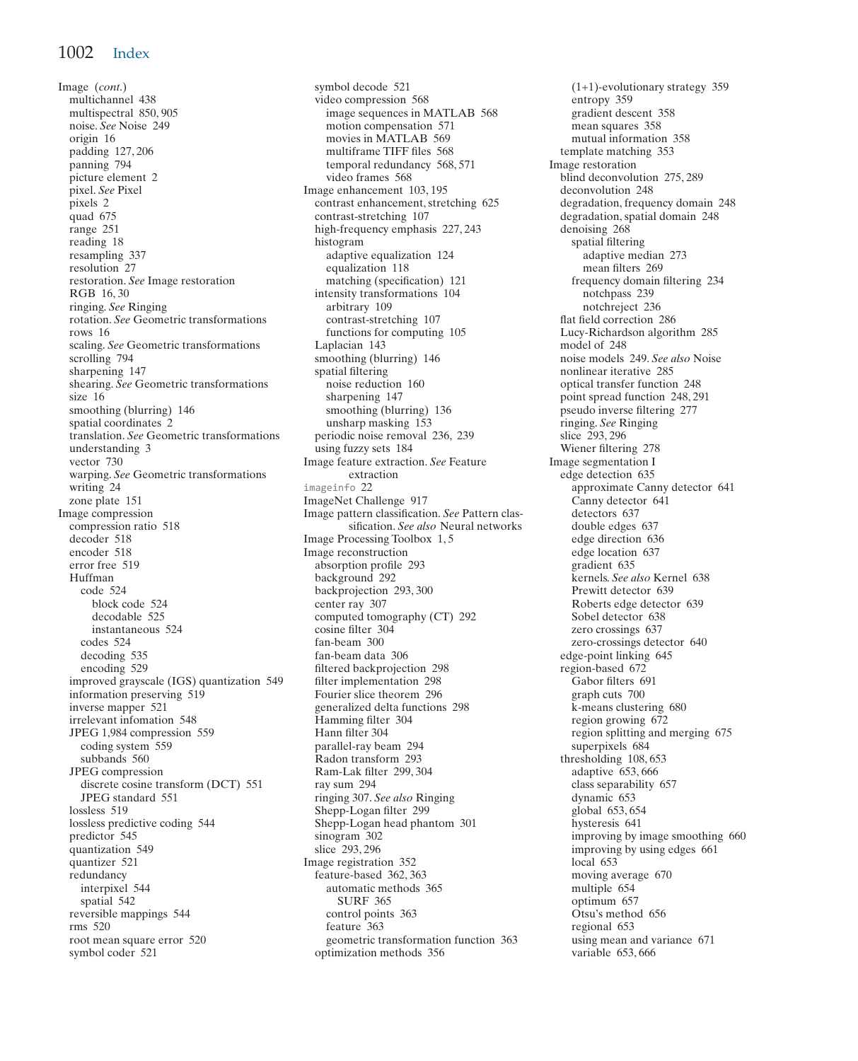Image (*cont*.) multichannel 438 multispectral 850, 905 noise. *See* Noise 249 origin 16 padding 127, 206 panning 794 picture element 2 pixel. *See* Pixel pixels 2 quad 675 range 251 reading 18 resampling 337 resolution 27 restoration. *See* Image restoration RGB 16, 30 ringing. *See* Ringing rotation. *See* Geometric transformations rows 16 scaling. *See* Geometric transformations scrolling 794 sharpening 147 shearing. *See* Geometric transformations size 16 smoothing (blurring) 146 spatial coordinates 2 translation. *See* Geometric transformations understanding 3 vector 730 warping. *See* Geometric transformations writing 24 zone plate 151 Image compression compression ratio 518 decoder 518 encoder 518 error free 519 Huffman code 524 block code 524 decodable 525 instantaneous 524 codes 524 decoding 535 encoding 529 improved grayscale (IGS) quantization 549 information preserving 519 inverse mapper 521 irrelevant infomation 548 JPEG 1,984 compression 559 coding system 559 subbands 560 JPEG compression discrete cosine transform (DCT) 551 JPEG standard 551 lossless 519 lossless predictive coding 544 predictor 545 quantization 549 quantizer 521 redundancy interpixel 544 spatial 542 reversible mappings 544 rms 520 root mean square error 520 symbol coder 521

symbol decode 521 video compression 568 image sequences in MATLAB 568 motion compensation 571 movies in MATLAB 569 multiframe TIFF files 568 temporal redundancy 568, 571 video frames 568 Image enhancement 103, 195 contrast enhancement, stretching 625 contrast-stretching 107 high-frequency emphasis 227, 243 histogram adaptive equalization 124 equalization 118 matching (specification) 121 intensity transformations 104 arbitrary 109 contrast-stretching 107 functions for computing 105 Laplacian 143 smoothing (blurring) 146 spatial filtering noise reduction 160 sharpening 147 smoothing (blurring) 136 unsharp masking 153 periodic noise removal 236, 239 using fuzzy sets 184 Image feature extraction. *See* Feature extraction imageinfo 22 ImageNet Challenge 917 Image pattern classification. *See* Pattern classification. *See also* Neural networks Image Processing Toolbox 1, 5 Image reconstruction absorption profile 293 background 292 backprojection 293, 300 center ray 307 computed tomography (CT) 292 cosine filter 304 fan-beam 300 fan-beam data 306 filtered backprojection 298 filter implementation 298 Fourier slice theorem 296 generalized delta functions 298 Hamming filter 304 Hann filter 304 parallel-ray beam 294 Radon transform 293 Ram-Lak filter 299, 304 ray sum 294 ringing 307. *See also* Ringing Shepp-Logan filter 299 Shepp-Logan head phantom 301 sinogram 302 slice 293, 296 Image registration 352 feature-based 362, 363 automatic methods 365 SURF 365 control points 363 feature 363 geometric transformation function 363 optimization methods 356

(1+1)-evolutionary strategy 359 entropy 359 gradient descent 358 mean squares 358 mutual information 358 template matching 353 Image restoration blind deconvolution 275, 289 deconvolution 248 degradation, frequency domain 248 degradation, spatial domain 248 denoising 268 spatial filtering adaptive median 273 mean filters 269 frequency domain filtering 234 notchpass 239 notchreject 236 flat field correction 286 Lucy-Richardson algorithm 285 model of 248 noise models 249. *See also* Noise nonlinear iterative 285 optical transfer function 248 point spread function 248, 291 pseudo inverse filtering 277 ringing. *See* Ringing slice 293, 296 Wiener filtering 278 Image segmentation I edge detection 635 approximate Canny detector 641 Canny detector 641 detectors 637 double edges 637 edge direction 636 edge location 637 gradient 635 kernels. *See also* Kernel 638 Prewitt detector 639 Roberts edge detector 639 Sobel detector 638 zero crossings 637 zero-crossings detector 640 edge-point linking 645 region-based 672 Gabor filters 691 graph cuts 700 k-means clustering 680 region growing 672 region splitting and merging 675 superpixels 684 thresholding 108, 653 adaptive 653, 666 class separability 657 dynamic 653 global 653, 654 hysteresis 641 improving by image smoothing 660 improving by using edges 661 local 653 moving average 670 multiple 654 optimum 657 Otsu's method 656 regional 653 using mean and variance 671 variable 653, 666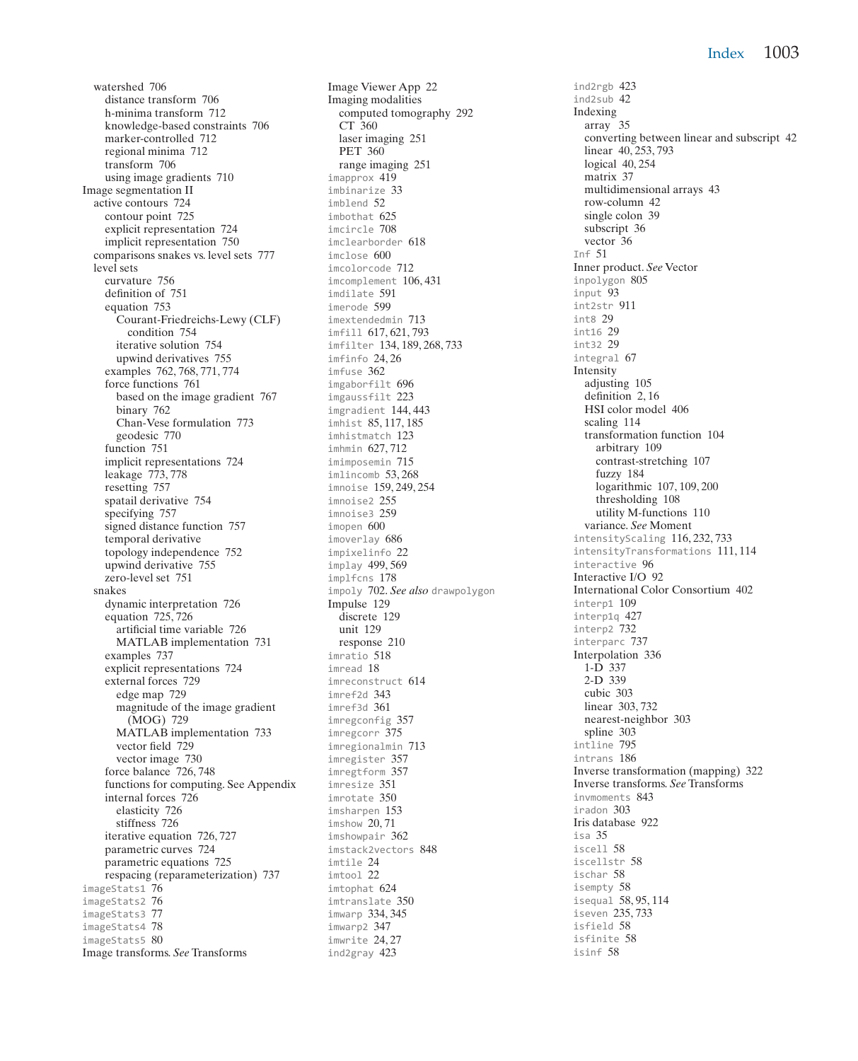watershed 706 distance transform 706 h-minima transform 712 knowledge-based constraints 706 marker-controlled 712 regional minima 712 transform 706 using image gradients 710 Image segmentation II active contours 724 contour point 725 explicit representation 724 implicit representation 750 comparisons snakes vs. level sets 777 level sets curvature 756 definition of 751 equation 753 Courant-Friedreichs-Lewy (CLF) condition 754 iterative solution 754 upwind derivatives 755 examples 762, 768, 771, 774 force functions 761 based on the image gradient 767 binary 762 Chan-Vese formulation 773 geodesic 770 function 751 implicit representations 724 leakage 773, 778 resetting 757 spatail derivative 754 specifying 757 signed distance function 757 temporal derivative topology independence 752 upwind derivative 755 zero-level set 751 snakes dynamic interpretation 726 equation 725, 726 artificial time variable 726 MATLAB implementation 731 examples 737 explicit representations 724 external forces 729 edge map 729 magnitude of the image gradient (MOG) 729 MATLAB implementation 733 vector field 729 vector image 730 force balance 726, 748 functions for computing. See Appendix internal forces 726 elasticity 726 stiffness 726 iterative equation 726, 727 parametric curves 724 parametric equations 725 respacing (reparameterization) 737 imageStats1 76 imageStats2 76 imageStats3 77 imageStats4 78 imageStats5 80 Image transforms. *See* Transforms

Image Viewer App 22 Imaging modalities computed tomography 292 CT 360 laser imaging 251 PET 360 range imaging 251 imapprox 419 imbinarize 33 imblend 52 imbothat 625 imcircle 708 imclearborder 618 imclose 600 imcolorcode 712 imcomplement 106, 431 imdilate 591 imerode 599 imextendedmin 713 imfill 617, 621, 793 imfilter 134, 189, 268, 733 imfinfo 24, 26 imfuse 362 imgaborfilt 696 imgaussfilt 223 imgradient 144, 443 imhist 85, 117, 185 imhistmatch 123 imhmin 627, 712 imimposemin 715 imlincomb 53.268 imnoise 159, 249, 254 imnoise2 255 imnoise3 259 imopen 600 imoverlay 686 impixelinfo 22 implay 499, 569 implfcns 178 impoly 702. *See also* drawpolygon Impulse 129 discrete 129 unit 129 response 210 imratio 518 imread 18 imreconstruct 614 imref2d 343 imref3d 361 imregconfig 357 imregcorr 375 imregionalmin 713 imregister 357 imregtform 357 imresize 351 imrotate 350 imsharpen 153 imshow 20, 71 imshowpair 362 imstack2vectors 848 imtile 24 imtool 22 imtophat 624 imtranslate 350 imwarp 334, 345 imwarp2 347 imwrite 24, 27 ind2gray 423

ind2rgb 423 ind2sub 42 Indexing array 35 converting between linear and subscript 42 linear 40, 253, 793 logical 40, 254 matrix 37 multidimensional arrays 43 row-column 42 single colon 39 subscript 36 vector 36 Inf 51 Inner product. *See* Vector inpolygon 805 input 93 int2str 911 int8 29 int16 29 int32 29 integral 67 Intensity adjusting 105 definition 2, 16 HSI color model 406 scaling 114 transformation function 104 arbitrary 109 contrast-stretching 107 fuzzy 184 logarithmic 107, 109, 200 thresholding 108 utility M-functions 110 variance. *See* Moment intensityScaling 116, 232, 733 intensityTransformations 111, 114 interactive 96 Interactive I/O 92 International Color Consortium 402 interp1 109 interp1q 427 interp2 732 interparc 737 Interpolation 336 1-D 337 2-D 339 cubic 303 linear 303, 732 nearest-neighbor 303 spline 303 intline 795 intrans 186 Inverse transformation (mapping) 322 Inverse transforms. *See* Transforms invmoments 843 iradon 303 Iris database 922 isa 35 iscell 58 iscellstr 58 ischar 58 isempty 58 isequal 58, 95, 114 iseven 235, 733 isfield 58 isfinite 58 isinf 58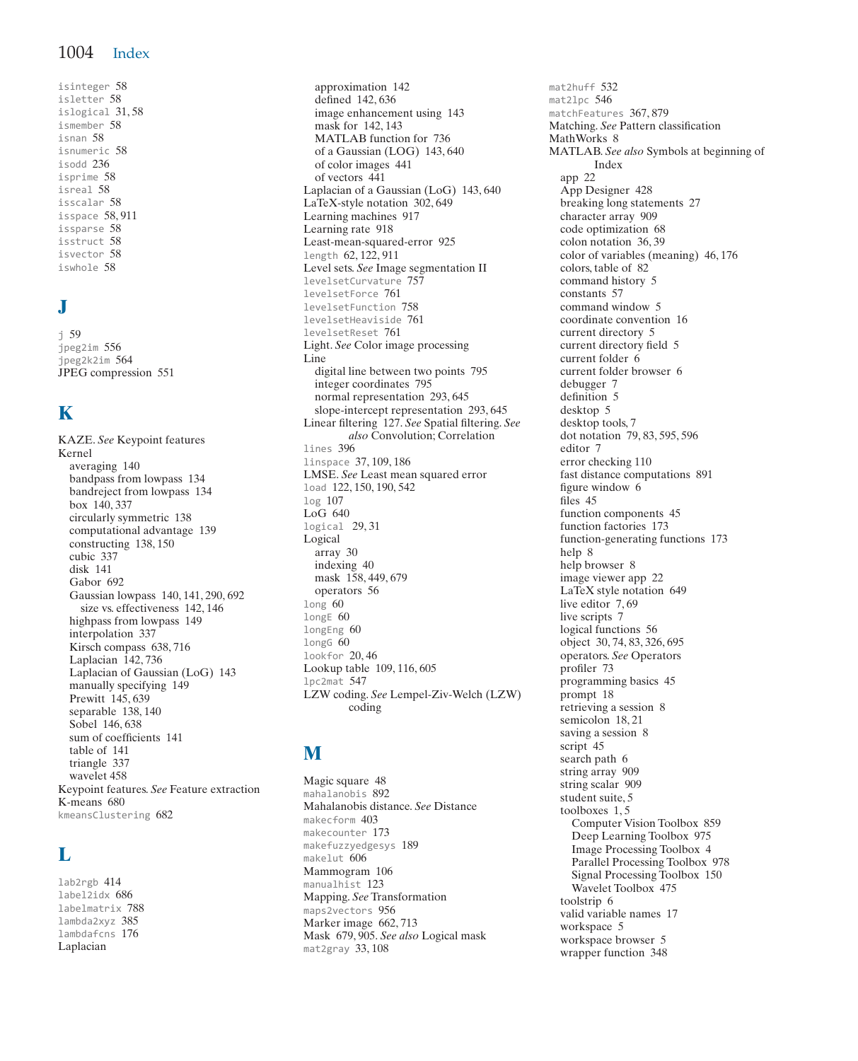isinteger 58 isletter 58 islogical 31, 58 ismember 58 isnan 58 isnumeric 58 isodd 236 isprime 58 isreal 58 isscalar 58 isspace 58, 911 issparse 58 isstruct 58 isvector 58 iswhole 58

# **J**

j 59 jpeg2im 556 jpeg2k2im 564 JPEG compression 551

# **K**

KAZE. *See* Keypoint features Kernel averaging 140 bandpass from lowpass 134 bandreject from lowpass 134 box 140, 337 circularly symmetric 138 computational advantage 139 constructing 138, 150 cubic 337 disk 141 Gabor 692 Gaussian lowpass 140, 141, 290, 692 size vs. effectiveness 142, 146 highpass from lowpass 149 interpolation 337 Kirsch compass 638, 716 Laplacian 142, 736 Laplacian of Gaussian (LoG) 143 manually specifying 149 Prewitt 145, 639 separable 138, 140 Sobel 146, 638 sum of coefficients 141 table of 141 triangle 337 wavelet 458 Keypoint features. *See* Feature extraction K-means 680 kmeansClustering 682

## **L**

lab2rgb 414 label2idx 686 labelmatrix 788 lambda2xyz 385 lambdafcns 176 Laplacian

approximation 142 defined 142, 636 image enhancement using 143 mask for 142, 143 MATLAB function for 736 of a Gaussian (LOG) 143, 640 of color images 441 of vectors 441 Laplacian of a Gaussian (LoG) 143, 640 LaTeX-style notation 302, 649 Learning machines 917 Learning rate 918 Least-mean-squared-error 925 length 62, 122, 911 Level sets. *See* Image segmentation II levelsetCurvature 757 levelsetForce 761 levelsetFunction 758 levelsetHeaviside 761 levelsetReset 761 Light. *See* Color image processing Line digital line between two points 795 integer coordinates 795 normal representation 293, 645 slope-intercept representation 293, 645 Linear filtering 127. *See* Spatial filtering. *See also* Convolution; Correlation lines 396 linspace 37, 109, 186 LMSE. *See* Least mean squared error load 122, 150, 190, 542 log 107 LoG 640 logical 29, 31 Logical array 30 indexing 40 mask 158, 449, 679 operators 56 long 60 longE 60 longEng 60 longG 60 lookfor 20, 46 Lookup table 109, 116, 605 lpc2mat 547 LZW coding. *See* Lempel-Ziv-Welch (LZW) coding

## **M**

Magic square 48 mahalanobis 892 Mahalanobis distance. *See* Distance makecform 403 makecounter 173 makefuzzyedgesys 189 makelut 606 Mammogram 106 manualhist 123 Mapping. *See* Transformation maps2vectors 956 Marker image 662, 713 Mask 679, 905. *See also* Logical mask mat2gray 33, 108

mat2huff 532 mat2lpc 546 matchFeatures 367, 879 Matching. *See* Pattern classification MathWorks 8 MATLAB. *See also* Symbols at beginning of Index app 22 App Designer 428 breaking long statements 27 character array 909 code optimization 68 colon notation 36, 39 color of variables (meaning) 46, 176 colors, table of 82 command history 5 constants 57 command window 5 coordinate convention 16 current directory 5 current directory field 5 current folder 6 current folder browser 6 debugger 7 definition 5 desktop 5 desktop tools, 7 dot notation 79, 83, 595, 596 editor 7 error checking 110 fast distance computations 891 figure window 6 files 45 function components 45 function factories 173 function-generating functions 173 help 8 help browser 8 image viewer app 22 LaTeX style notation 649 live editor 7, 69 live scripts 7 logical functions 56 object 30, 74, 83, 326, 695 operators. *See* Operators profiler 73 programming basics 45 prompt 18 retrieving a session 8 semicolon 18, 21 saving a session 8 script 45 search path 6 string array 909 string scalar 909 student suite, 5 toolboxes 1, 5 Computer Vision Toolbox 859 Deep Learning Toolbox 975 Image Processing Toolbox 4 Parallel Processing Toolbox 978 Signal Processing Toolbox 150 Wavelet Toolbox 475 toolstrip 6 valid variable names 17 workspace 5 workspace browser 5 wrapper function 348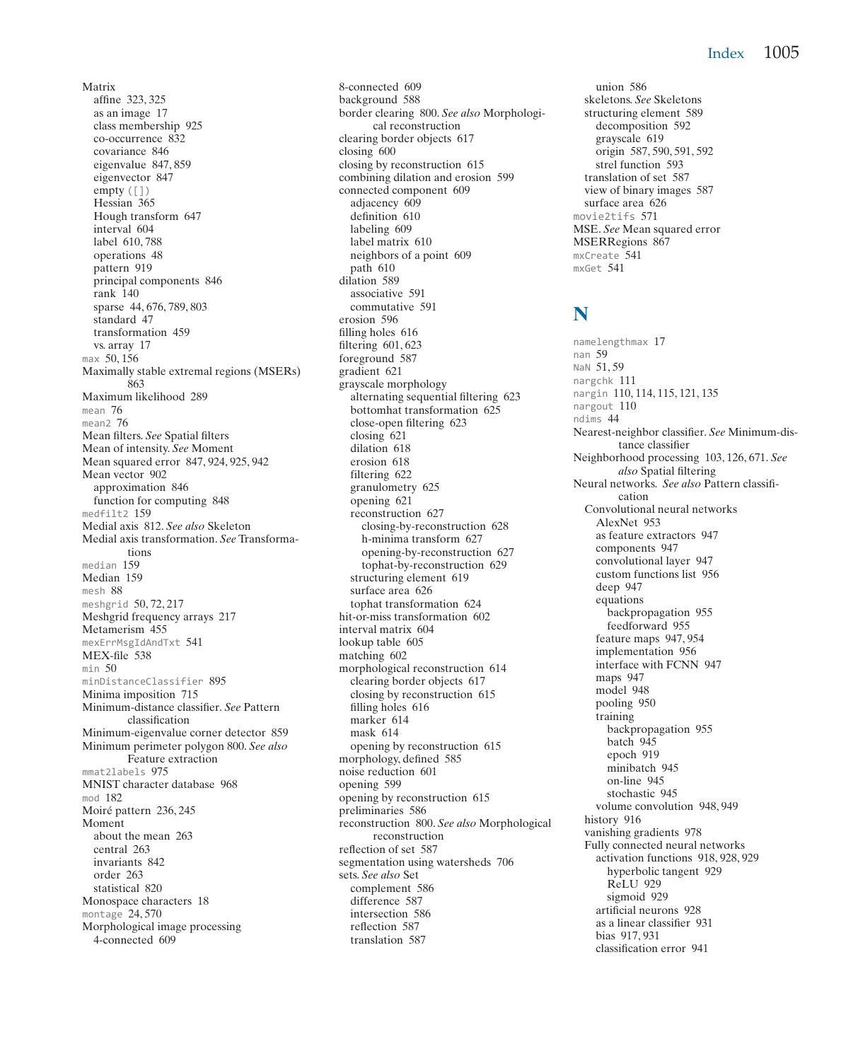#### Index 1005

Matrix affine 323, 325 as an image 17 class membership 925 co-occurrence 832 covariance 846 eigenvalue 847, 859 eigenvector 847 empty  $([])$ Hessian 365 Hough transform 647 interval 604 label 610, 788 operations 48 pattern 919 principal components 846 rank 140 sparse 44, 676, 789, 803 standard 47 transformation 459 vs. array 17 max 50, 156 Maximally stable extremal regions (MSERs) 863 Maximum likelihood 289 mean 76 mean<sub>2</sub>  $76$ Mean filters. *See* Spatial filters Mean of intensity. *See* Moment Mean squared error 847, 924, 925, 942 Mean vector 902 approximation 846 function for computing 848 medfilt2 159 Medial axis 812. *See also* Skeleton Medial axis transformation. *See* Transformations median 159 Median 159 mesh 88 meshgrid 50, 72, 217 Meshgrid frequency arrays 217 Metamerism 455 mexErrMsgIdAndTxt 541 MEX-file 538 min 50 minDistanceClassifier 895 Minima imposition 715 Minimum-distance classifier. *See* Pattern classification Minimum-eigenvalue corner detector 859 Minimum perimeter polygon 800. *See also* Feature extraction mmat2labels 975 MNIST character database 968 mod 182 Moiré pattern 236, 245 Moment about the mean 263 central 263 invariants 842 order 263 statistical 820 Monospace characters 18 montage 24, 570 Morphological image processing 4-connected 609

8-connected 609 background 588 border clearing 800. *See also* Morphological reconstruction clearing border objects 617 closing 600 closing by reconstruction 615 combining dilation and erosion 599 connected component 609 adjacency 609 definition 610 labeling 609 label matrix 610 neighbors of a point 609 path 610 dilation 589 associative 591 commutative 591 erosion 596 filling holes 616 filtering 601, 623 foreground 587 gradient 621 grayscale morphology alternating sequential filtering 623 bottomhat transformation 625 close-open filtering 623 closing 621 dilation 618 erosion 618 filtering 622 granulometry 625 opening 621 reconstruction 627 closing-by-reconstruction 628 h-minima transform 627 opening-by-reconstruction 627 tophat-by-reconstruction 629 structuring element 619 surface area 626 tophat transformation 624 hit-or-miss transformation 602 interval matrix 604 lookup table 605 matching 602 morphological reconstruction 614 clearing border objects 617 closing by reconstruction 615 filling holes 616 marker 614 mask 614 opening by reconstruction 615 morphology, defined 585 noise reduction 601 opening 599 opening by reconstruction 615 preliminaries 586 reconstruction 800. *See also* Morphological reconstruction reflection of set 587 segmentation using watersheds 706 sets. *See also* Set complement 586 difference 587 intersection 586 reflection 587 translation 587

union 586 skeletons. *See* Skeletons structuring element 589 decomposition 592 grayscale 619 origin 587, 590, 591, 592 strel function 593 translation of set 587 view of binary images 587 surface area 626 movie2tifs 571 MSE. *See* Mean squared error MSERRegions 867 mxCreate 541 mxGet 541

#### **N**

namelengthmax 17 nan 59 NaN 51,59 nargchk 111 nargin 110, 114, 115, 121, 135 nargout 110 ndims 44 Nearest-neighbor classifier. *See* Minimum-distance classifier Neighborhood processing 103, 126, 671. *See also* Spatial filtering Neural networks. *See also* Pattern classification Convolutional neural networks AlexNet 953 as feature extractors 947 components 947 convolutional layer 947 custom functions list 956 deep 947 equations backpropagation 955 feedforward 955 feature maps 947, 954 implementation 956 interface with FCNN 947 maps 947 model 948 pooling 950 training backpropagation 955 batch 945 epoch 919 minibatch 945 on-line 945 stochastic 945 volume convolution 948, 949 history 916 vanishing gradients 978 Fully connected neural networks activation functions 918, 928, 929 hyperbolic tangent 929 ReLU 929 sigmoid 929 artificial neurons 928 as a linear classifier 931 bias 917, 931 classification error 941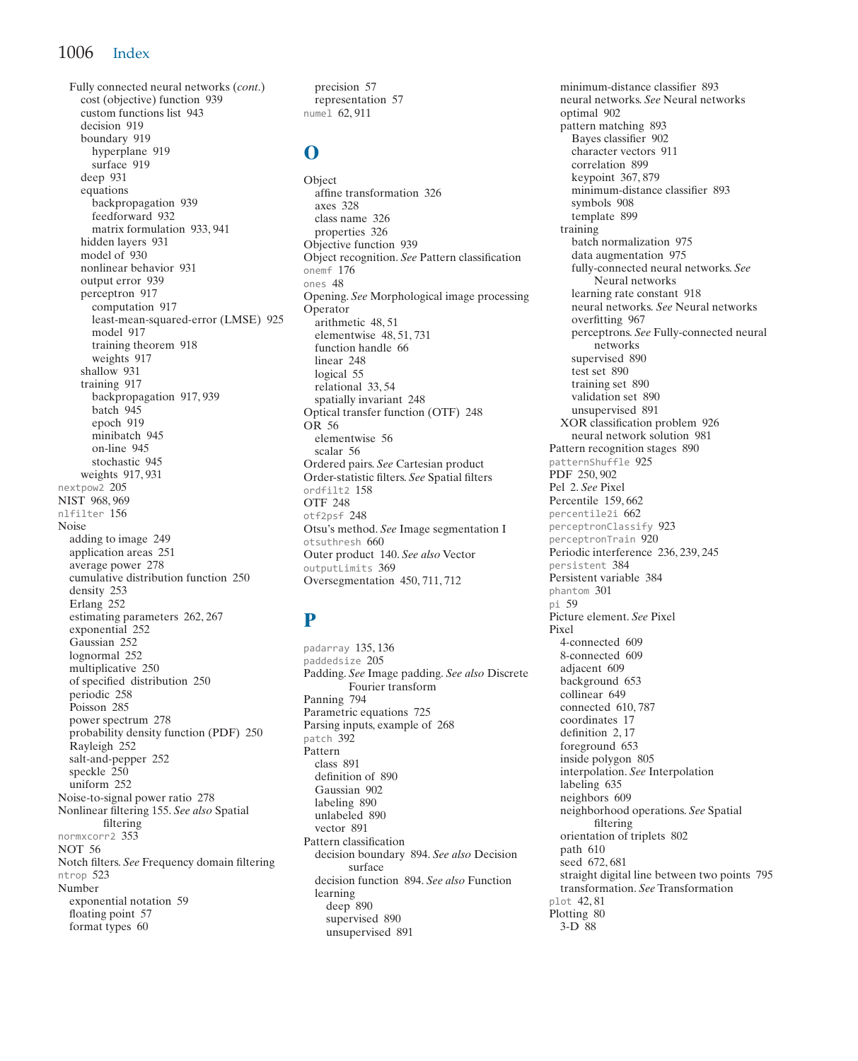#### 1006 Index

Fully connected neural networks (*cont*.) cost (objective) function 939 custom functions list 943 decision 010 boundary 919 hyperplane 919 surface 919 deep 931 equations backpropagation 939 feedforward 932 matrix formulation 933, 941 hidden layers 931 model of 930 nonlinear behavior 931 output error 939 perceptron 917 computation 917 least-mean-squared-error (LMSE) 925 model 917 training theorem 918 weights 917 shallow 931 training 917 backpropagation 917, 939 batch 945 epoch 919 minibatch 945 on-line 945 stochastic 945 weights 917, 931 nextpow2 205 NIST 968, 969 nlfilter 156 Noise adding to image 249 application areas 251 average power 278 cumulative distribution function 250 density 253 Erlang 252 estimating parameters 262, 267 exponential 252 Gaussian 252 lognormal 252 multiplicative 250 of specified distribution 250 periodic 258 Poisson 285 power spectrum 278 probability density function (PDF) 250 Rayleigh 252 salt-and-pepper 252 speckle  $250$ uniform 252 Noise-to-signal power ratio 278 Nonlinear filtering 155. *See also* Spatial filtering normxcorr2 353 NOT 56 Notch filters. *See* Frequency domain filtering ntrop 523 Number exponential notation 59 floating point 57 format types 60

precision 57 representation 57 numel 62, 911

#### **O**

Object affine transformation 326 axes 328 class name 326 properties 326 Objective function 939 Object recognition. *See* Pattern classification onemf 176 ones 48 Opening. *See* Morphological image processing Operator arithmetic 48,51 elementwise 48, 51, 731 function handle 66 linear 248 logical 55 relational 33, 54 spatially invariant 248 Optical transfer function (OTF) 248 OR 56 elementwise 56 scalar 56 Ordered pairs. *See* Cartesian product Order-statistic filters. *See* Spatial filters ordfilt2 158 OTF 248 otf2psf 248 Otsu's method. *See* Image segmentation I otsuthresh 660 Outer product 140. *See also* Vector outputLimits 369 Oversegmentation 450, 711, 712

## **P**

padarray 135, 136 paddedsize 205 Padding. *See* Image padding. *See also* Discrete Fourier transform Panning 794 Parametric equations 725 Parsing inputs, example of 268 patch 392 Pattern class 891 definition of 890 Gaussian 902 labeling 890 unlabeled 890 vector 891 Pattern classification decision boundary 894. *See also* Decision surface decision function 894. *See also* Function learning deep 890 supervised 890 unsupervised 891

minimum-distance classifier 893 neural networks. *See* Neural networks optimal 902 pattern matching 893 Bayes classifier 902 character vectors 911 correlation 899 keypoint 367, 879 minimum-distance classifier 893 symbols 908 template 899 training batch normalization 975 data augmentation 975 fully-connected neural networks. *See* Neural networks learning rate constant 918 neural networks. *See* Neural networks overfitting 967 perceptrons. *See* Fully-connected neural networks supervised 890 test set 890 training set 890 validation set 890 unsupervised 891 XOR classification problem 926 neural network solution 981 Pattern recognition stages 890 patternShuffle 925 PDF 250, 902 Pel 2. *See* Pixel Percentile 159, 662 percentile2i 662 perceptronClassify 923 perceptronTrain 920 Periodic interference 236, 239, 245 persistent 384 Persistent variable 384 phantom 301 pi 59 Picture element. *See* Pixel Pixel 4-connected 609 8-connected 609 adjacent 609 background 653 collinear 649 connected 610, 787 coordinates 17 definition 2, 17 foreground 653 inside polygon 805 interpolation. *See* Interpolation labeling 635 neighbors 609 neighborhood operations. *See* Spatial filtering orientation of triplets 802 path 610 seed 672, 681 straight digital line between two points 795 transformation. *See* Transformation plot 42, 81 Plotting 80 3-D 88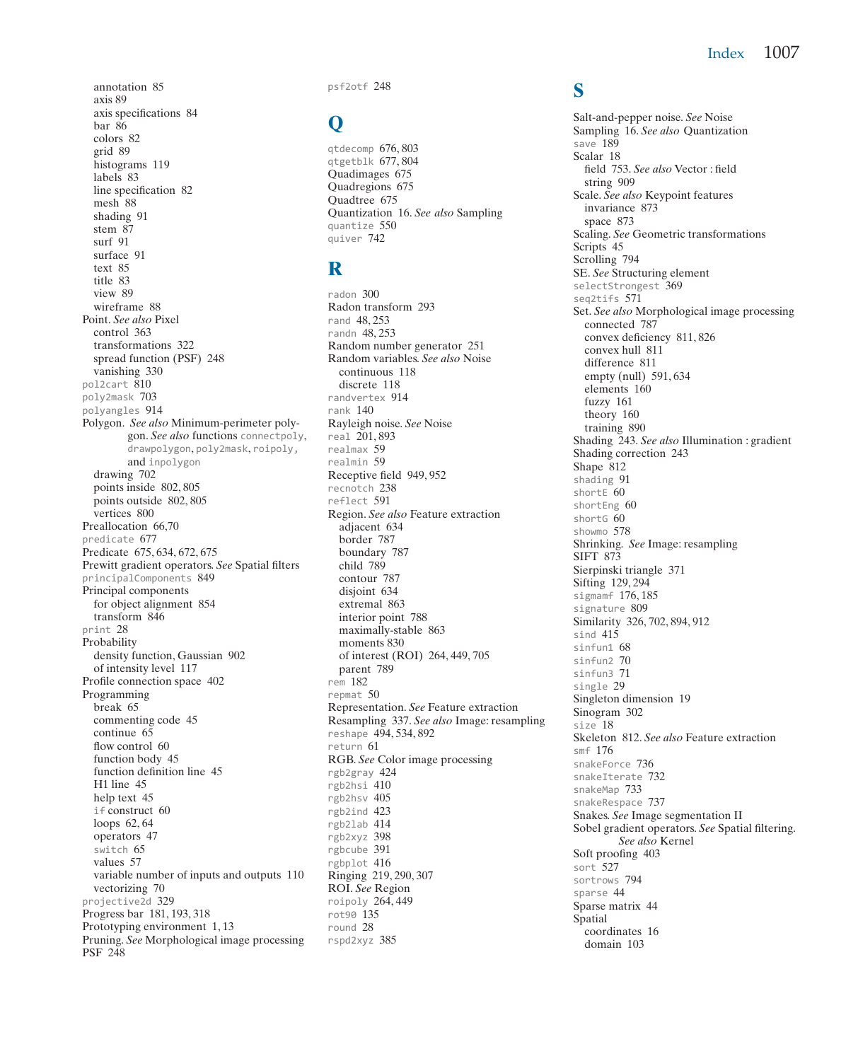annotation 85 axis 89 axis specifications 84 bar 86 colors 82 grid 89 histograms 119 labels 83 line specification 82 mesh<sup>88</sup> shading 91 stem 87 surf 91 surface 91  $t_{\alpha}$ vt 85 title 83 view 89 wireframe 88 Point. *See also* Pixel control 363 transformations 322 spread function (PSF) 248 vanishing 330 pol2cart 810 poly2mask 703 polyangles 914 Polygon. *See also* Minimum-perimeter polygon. *See also* functions connectpoly, drawpolygon, poly2mask, roipoly, and inpolygon drawing 702 points inside 802, 805 points outside 802, 805 vertices 800 Preallocation 66,70 predicate 677 Predicate 675, 634, 672, 675 Prewitt gradient operators. *See* Spatial filters principalComponents 849 Principal components for object alignment 854 transform 846 print 28 Probability density function, Gaussian 902 of intensity level 117 Profile connection space 402 Programming break 65 commenting code 45 continue 65 flow control 60 function body 45 function definition line 45 H1 line 45 help text 45 if construct 60 loops 62, 64 operators 47 switch 65 values 57 variable number of inputs and outputs 110 vectorizing 70 projective2d 329 Progress bar 181, 193, 318 Prototyping environment 1, 13 Pruning. *See* Morphological image processing PSF 248

psf2otf 248

#### **Q**

qtdecomp 676, 803 qtgetblk 677, 804 Quadimages 675 Quadregions 675 Quadtree 675 Quantization 16. *See also* Sampling quantize 550 quiver 742

## **R**

radon 300 Radon transform 293 rand 48, 253 randn 48, 253 Random number generator 251 Random variables. *See also* Noise continuous 118 discrete 118 randvertex 914 rank 140 Rayleigh noise. *See* Noise real 201, 893 realmax 59 realmin 59 Receptive field 949, 952 recnotch 238 reflect 591 Region. *See also* Feature extraction adjacent 634 border 787 boundary 787 child 789 contour 787 disjoint 634 extremal 863 interior point 788 maximally-stable 863 moments 830 of interest (ROI) 264, 449, 705 parent 789 rem 182 repmat 50 Representation. *See* Feature extraction Resampling 337. *See also* Image: resampling reshape 494, 534, 892 return 61 RGB. *See* Color image processing rgb2gray 424 rgb2hsi 410 rgb2hsv 405 rgb2ind 423 rgb2lab 414 rgb2xyz 398 rgbcube 391 rgbplot 416 Ringing 219, 290, 307 ROI. *See* Region roipoly 264, 449 rot90 135 round 28 rspd2xyz 385

#### **S**

Salt-and-pepper noise. *See* Noise Sampling 16. *See also* Quantization save 189 Scalar 18 field 753. *See also* Vector : field string 909 Scale. *See also* Keypoint features invariance 873 space 873 Scaling. *See* Geometric transformations Scripts 45 Scrolling 794 SE. *See* Structuring element selectStrongest 369 seq2tifs 571 Set. *See also* Morphological image processing connected 787 convex deficiency 811, 826 convex hull 811 difference 811 empty (null) 591, 634 elements 160 fuzzy 161 theory 160 training 890 Shading 243. *See also* Illumination : gradient Shading correction 243 Shape 812 shading 91 shortE 60 shortEng 60 shortG 60 showmo 578 Shrinking. *See* Image: resampling SIFT 873 Sierpinski triangle 371 Sifting 129, 294 sigmamf 176, 185 signature 809 Similarity 326, 702, 894, 912 sind 415 sinfun1 68 sinfun2 70 sinfun3 71 single 29 Singleton dimension 19 Sinogram 302 size 18 Skeleton 812. *See also* Feature extraction smf 176 snakeForce 736 snakeIterate 732 snakeMap 733 snakeRespace 737 Snakes. *See* Image segmentation II Sobel gradient operators. *See* Spatial filtering. *See also* Kernel Soft proofing 403 sort 527 sortrows 794 sparse 44 Sparse matrix 44 Spatial coordinates 16 domain 103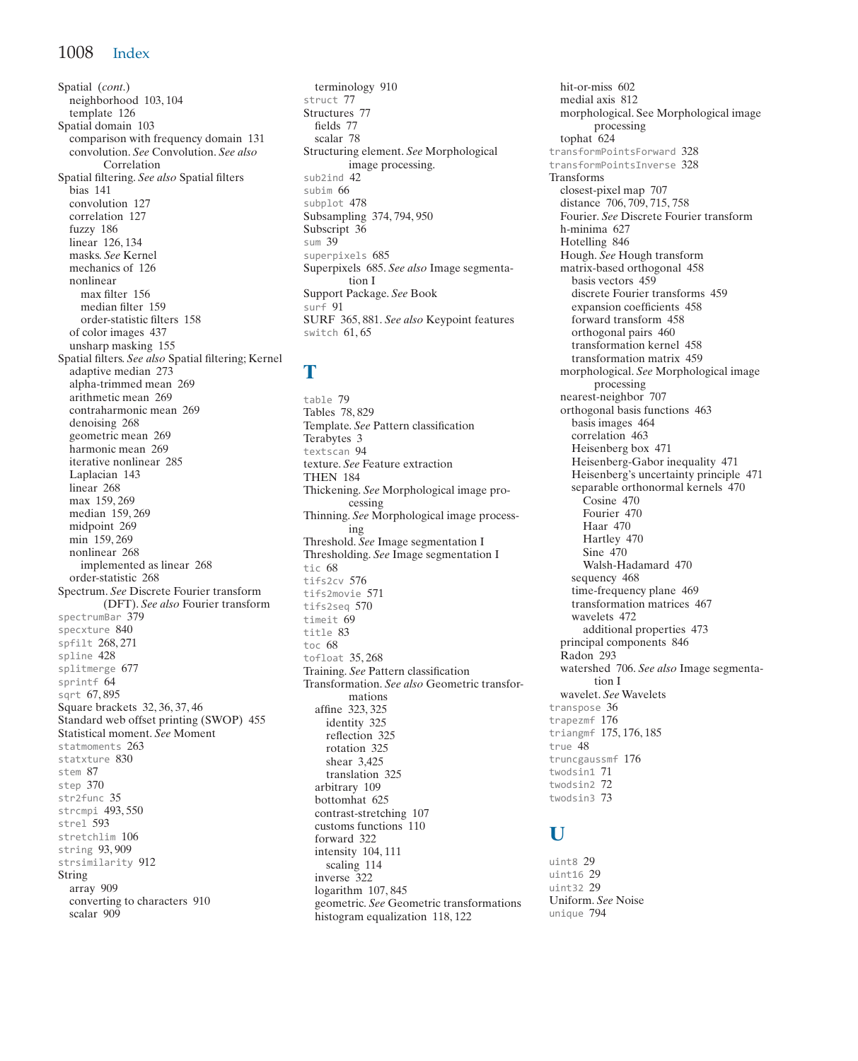Spatial (*cont*.) neighborhood 103, 104 template 126 Spatial domain 103 comparison with frequency domain 131 convolution. *See* Convolution. *See also* Correlation Spatial filtering. *See also* Spatial filters bias 141 convolution 127 correlation 127 fuzzy 186 linear 126, 134 masks. *See* Kernel mechanics of 126 nonlinear max filter 156 median filter 159 order-statistic filters 158 of color images 437 unsharp masking 155 Spatial filters. *See also* Spatial filtering; Kernel adaptive median 273 alpha-trimmed mean 269 arithmetic mean 269 contraharmonic mean 269 denoising 268 geometric mean 269 harmonic mean 269 iterative nonlinear 285 Laplacian 143 linear 268 max 159, 269 median 159, 269 midpoint 269 min 159, 269 nonlinear 268 implemented as linear 268 order-statistic 268 Spectrum. *See* Discrete Fourier transform (DFT). *See also* Fourier transform spectrumBar 379 specxture 840 spfilt 268, 271 spline 428 splitmerge 677 sprintf 64 sqrt 67, 895 Square brackets 32, 36, 37, 46 Standard web offset printing (SWOP) 455 Statistical moment. *See* Moment statmoments 263 statxture 830 stem 87 step 370 str2func 35 strcmpi 493, 550 strel 593 stretchlim 106 string 93, 909 strsimilarity 912 String array 909 converting to characters 910 scalar 909

terminology 910 struct 77 Structures 77 fields 77 scalar 78 Structuring element. *See* Morphological image processing. sub2ind 42 subim 66 subplot 478 Subsampling 374, 794, 950 Subscript 36 sum 39 superpixels 685 Superpixels 685. *See also* Image segmentation I Support Package. *See* Book surf 91 SURF 365, 881. *See also* Keypoint features switch 61, 65

## **T**

table 79 Tables 78, 829 Template. *See* Pattern classification Terabytes 3 textscan 94 texture. *See* Feature extraction THEN 184 Thickening. *See* Morphological image processing Thinning. *See* Morphological image processing Threshold. *See* Image segmentation I Thresholding. *See* Image segmentation I tic 68 tifs2cv 576 tifs2movie 571 tifs2seq 570 timeit 69 title 83 toc 68 tofloat 35, 268 Training. *See* Pattern classification Transformation. *See also* Geometric transformations affine 323, 325 identity 325 reflection 325 rotation 325 shear 3,425 translation 325 arbitrary 109 bottomhat 625 contrast-stretching 107 customs functions 110 forward 322 intensity 104, 111 scaling 114 inverse 322 logarithm 107, 845 geometric. *See* Geometric transformations histogram equalization 118, 122

hit-or-miss 602 medial axis 812 morphological. See Morphological image processing tophat 624 transformPointsForward 328 transformPointsInverse 328 Transforms closest-pixel map 707 distance 706, 709, 715, 758 Fourier. *See* Discrete Fourier transform h-minima 627 Hotelling 846 Hough. *See* Hough transform matrix-based orthogonal 458 basis vectors 459 discrete Fourier transforms 459 expansion coefficients 458 forward transform 458 orthogonal pairs 460 transformation kernel 458 transformation matrix 459 morphological. *See* Morphological image processing nearest-neighbor 707 orthogonal basis functions 463 basis images 464 correlation 463 Heisenberg box 471 Heisenberg-Gabor inequality 471 Heisenberg's uncertainty principle 471 separable orthonormal kernels 470 Cosine 470 Fourier 470 Haar 470 Hartley 470 Sine 470 Walsh-Hadamard 470 sequency 468 time-frequency plane 469 transformation matrices 467 wavelets 472 additional properties 473 principal components 846 Radon 293 watershed 706. *See also* Image segmentation I wavelet. *See* Wavelets transpose 36 trapezmf 176 triangmf 175, 176, 185 true 48 truncgaussmf 176 twodsin1 71 twodsin2 72 twodsin3 73

## **U**

uint8 29 uint16 29 uint32 29 Uniform. *See* Noise unique 794